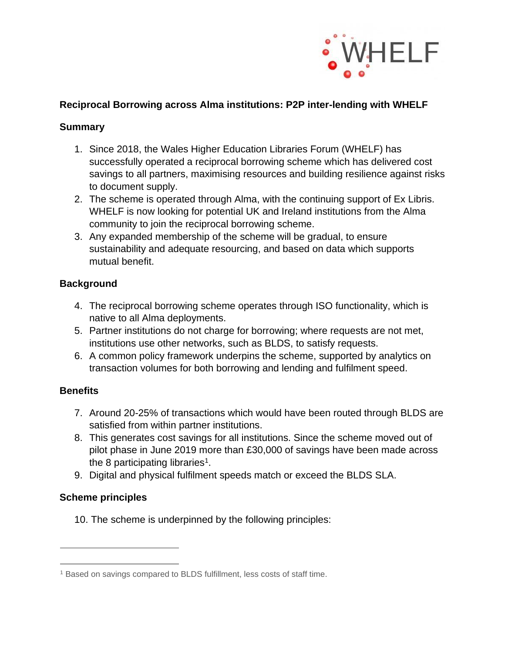

# **Reciprocal Borrowing across Alma institutions: P2P inter-lending with WHELF**

# **Summary**

- 1. Since 2018, the Wales Higher Education Libraries Forum (WHELF) has successfully operated a reciprocal borrowing scheme which has delivered cost savings to all partners, maximising resources and building resilience against risks to document supply.
- 2. The scheme is operated through Alma, with the continuing support of Ex Libris. WHELF is now looking for potential UK and Ireland institutions from the Alma community to join the reciprocal borrowing scheme.
- 3. Any expanded membership of the scheme will be gradual, to ensure sustainability and adequate resourcing, and based on data which supports mutual benefit.

# **Background**

- 4. The reciprocal borrowing scheme operates through ISO functionality, which is native to all Alma deployments.
- 5. Partner institutions do not charge for borrowing; where requests are not met, institutions use other networks, such as BLDS, to satisfy requests.
- 6. A common policy framework underpins the scheme, supported by analytics on transaction volumes for both borrowing and lending and fulfilment speed.

# **Benefits**

- 7. Around 20-25% of transactions which would have been routed through BLDS are satisfied from within partner institutions.
- 8. This generates cost savings for all institutions. Since the scheme moved out of pilot phase in June 2019 more than £30,000 of savings have been made across the 8 participating libraries<sup>1</sup>.
- 9. Digital and physical fulfilment speeds match or exceed the BLDS SLA.

# **Scheme principles**

10. The scheme is underpinned by the following principles:

<sup>1</sup> Based on savings compared to BLDS fulfillment, less costs of staff time.